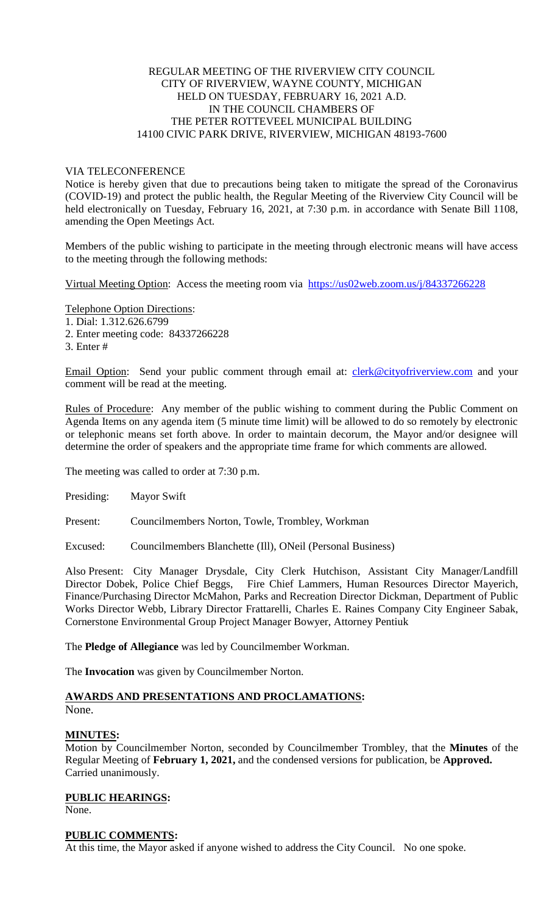### REGULAR MEETING OF THE RIVERVIEW CITY COUNCIL CITY OF RIVERVIEW, WAYNE COUNTY, MICHIGAN HELD ON TUESDAY, FEBRUARY 16, 2021 A.D. IN THE COUNCIL CHAMBERS OF THE PETER ROTTEVEEL MUNICIPAL BUILDING 14100 CIVIC PARK DRIVE, RIVERVIEW, MICHIGAN 48193-7600

### VIA TELECONFERENCE

Notice is hereby given that due to precautions being taken to mitigate the spread of the Coronavirus (COVID-19) and protect the public health, the Regular Meeting of the Riverview City Council will be held electronically on Tuesday, February 16, 2021, at 7:30 p.m. in accordance with Senate Bill 1108, amending the Open Meetings Act.

Members of the public wishing to participate in the meeting through electronic means will have access to the meeting through the following methods:

Virtual Meeting Option: Access the meeting room via [https://us02web.zoom.us/j/84337266228](https://www.google.com/url?q=https%3A%2F%2Fus02web.zoom.us%2Fj%2F84337266228&sa=D&ust=1612884498901000&usg=AOvVaw1EjLlJRlAzYjjeIPz1KPge)

Telephone Option Directions:

1. Dial: 1.312.626.6799

2. Enter meeting code: 84337266228

3. Enter #

Email Option: Send your public comment through email at: [clerk@cityofriverview.com](mailto:clerk@cityofriverview.com) and your comment will be read at the meeting.

Rules of Procedure: Any member of the public wishing to comment during the Public Comment on Agenda Items on any agenda item (5 minute time limit) will be allowed to do so remotely by electronic or telephonic means set forth above. In order to maintain decorum, the Mayor and/or designee will determine the order of speakers and the appropriate time frame for which comments are allowed.

The meeting was called to order at 7:30 p.m.

Presiding: Mayor Swift

Present: Councilmembers Norton, Towle, Trombley, Workman

Excused: Councilmembers Blanchette (Ill), ONeil (Personal Business)

Also Present: City Manager Drysdale, City Clerk Hutchison, Assistant City Manager/Landfill Director Dobek, Police Chief Beggs, Fire Chief Lammers, Human Resources Director Mayerich, Finance/Purchasing Director McMahon, Parks and Recreation Director Dickman, Department of Public Works Director Webb, Library Director Frattarelli, Charles E. Raines Company City Engineer Sabak, Cornerstone Environmental Group Project Manager Bowyer, Attorney Pentiuk

The **Pledge of Allegiance** was led by Councilmember Workman.

The **Invocation** was given by Councilmember Norton.

### **AWARDS AND PRESENTATIONS AND PROCLAMATIONS:** None.

## **MINUTES:**

Motion by Councilmember Norton, seconded by Councilmember Trombley, that the **Minutes** of the Regular Meeting of **February 1, 2021,** and the condensed versions for publication, be **Approved.** Carried unanimously.

### **PUBLIC HEARINGS:**

None.

### **PUBLIC COMMENTS:**

At this time, the Mayor asked if anyone wished to address the City Council. No one spoke.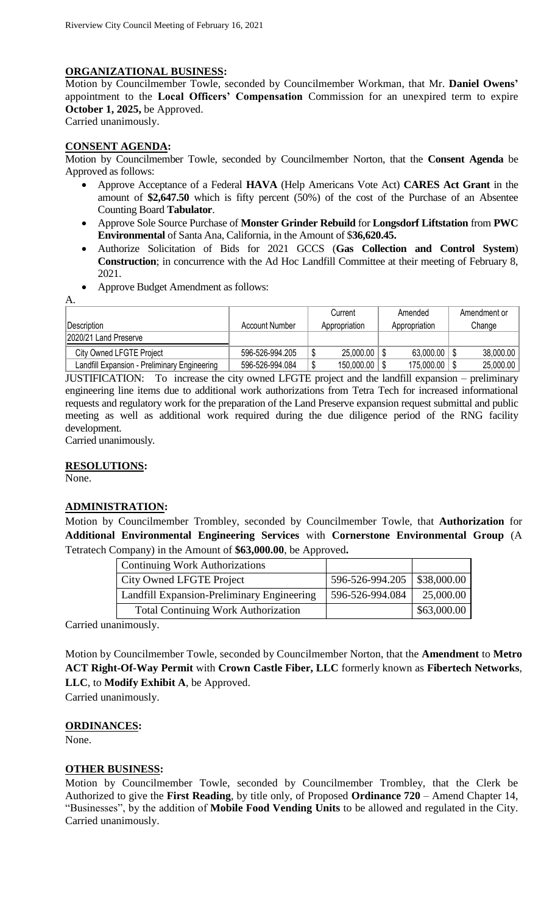## **ORGANIZATIONAL BUSINESS:**

Motion by Councilmember Towle, seconded by Councilmember Workman, that Mr. **Daniel Owens'** appointment to the **Local Officers' Compensation** Commission for an unexpired term to expire **October 1, 2025,** be Approved. Carried unanimously.

# **CONSENT AGENDA:**

Motion by Councilmember Towle, seconded by Councilmember Norton, that the **Consent Agenda** be Approved as follows:

- Approve Acceptance of a Federal **HAVA** (Help Americans Vote Act) **CARES Act Grant** in the amount of **\$2,647.50** which is fifty percent (50%) of the cost of the Purchase of an Absentee Counting Board **Tabulator**.
- Approve Sole Source Purchase of **Monster Grinder Rebuild** for **Longsdorf Liftstation** from **PWC Environmental** of Santa Ana, California, in the Amount of \$**36,620.45.**
- Authorize Solicitation of Bids for 2021 GCCS (**Gas Collection and Control System**) **Construction**; in concurrence with the Ad Hoc Landfill Committee at their meeting of February 8, 2021.
- Approve Budget Amendment as follows:

| Description                                  | Account Number  | Current<br>Appropriation | Amended<br>Appropriation | Amendment or<br>Change |
|----------------------------------------------|-----------------|--------------------------|--------------------------|------------------------|
| 2020/21 Land Preserve                        |                 |                          |                          |                        |
| <b>City Owned LFGTE Project</b>              | 596-526-994.205 | 25,000.00                | $63.000.00$              | 38,000.00              |
| Landfill Expansion - Preliminary Engineering | 596-526-994.084 | 150,000.00               | 175,000.00               | 25,000.00              |

JUSTIFICATION: To increase the city owned LFGTE project and the landfill expansion – preliminary engineering line items due to additional work authorizations from Tetra Tech for increased informational requests and regulatory work for the preparation of the Land Preserve expansion request submittal and public meeting as well as additional work required during the due diligence period of the RNG facility development.

Carried unanimously.

## **RESOLUTIONS:**

None.

A.

## **ADMINISTRATION:**

Motion by Councilmember Trombley, seconded by Councilmember Towle, that **Authorization** for **Additional Environmental Engineering Services** with **Cornerstone Environmental Group** (A Tetratech Company) in the Amount of **\$63,000.00**, be Approved**.**

| <b>Continuing Work Authorizations</b>      |                               |             |
|--------------------------------------------|-------------------------------|-------------|
| City Owned LFGTE Project                   | 596-526-994.205   \$38,000.00 |             |
| Landfill Expansion-Preliminary Engineering | 596-526-994.084               | 25,000.00   |
| <b>Total Continuing Work Authorization</b> |                               | \$63,000.00 |

Carried unanimously.

Motion by Councilmember Towle, seconded by Councilmember Norton, that the **Amendment** to **Metro ACT Right-Of-Way Permit** with **Crown Castle Fiber, LLC** formerly known as **Fibertech Networks**, **LLC**, to **Modify Exhibit A**, be Approved.

Carried unanimously.

## **ORDINANCES:**

None.

## **OTHER BUSINESS:**

Motion by Councilmember Towle, seconded by Councilmember Trombley, that the Clerk be Authorized to give the **First Reading**, by title only, of Proposed **Ordinance 720** – Amend Chapter 14, "Businesses", by the addition of **Mobile Food Vending Units** to be allowed and regulated in the City. Carried unanimously.